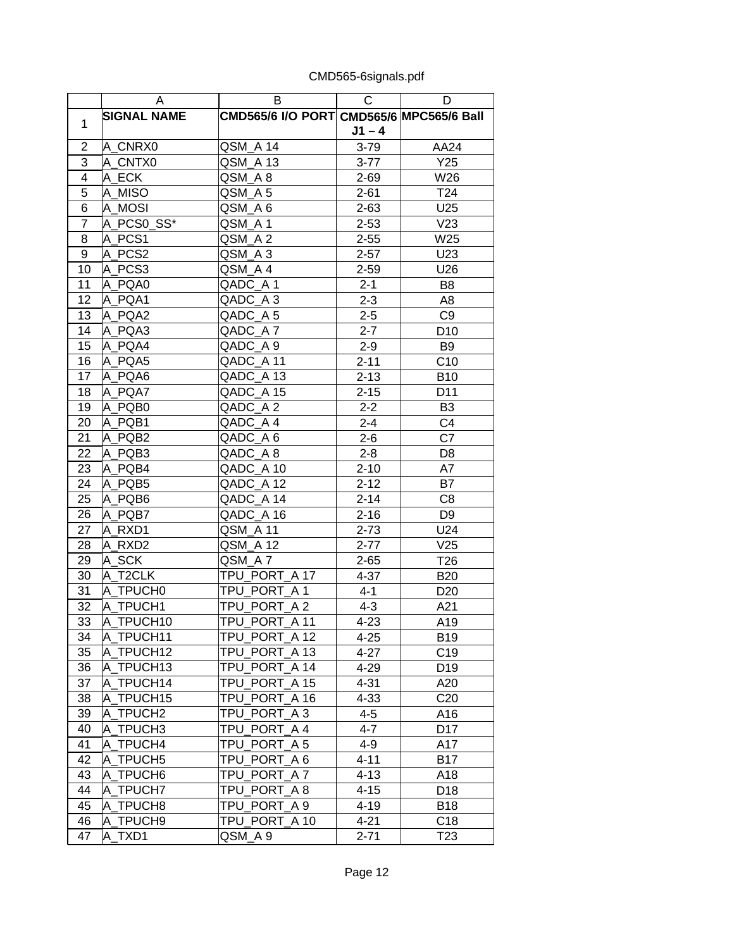|                | A                  | B                                        | С        | D               |
|----------------|--------------------|------------------------------------------|----------|-----------------|
|                | <b>SIGNAL NAME</b> | CMD565/6 I/O PORT CMD565/6 MPC565/6 Ball |          |                 |
| $\mathbf{1}$   |                    |                                          | $J1 - 4$ |                 |
| $\overline{2}$ | A CNRX0            | QSM A 14                                 | $3 - 79$ | AA24            |
| 3              | A CNTX0            | QSM A 13                                 | $3 - 77$ | Y25             |
| $\overline{4}$ | A ECK              | QSM_A8                                   | $2 - 69$ | W26             |
| 5              | A MISO             | QSM_A 5                                  | $2 - 61$ | T <sub>24</sub> |
| $\overline{6}$ | A MOSI             | QSM_A 6                                  | $2 - 63$ | U25             |
| 7              | A PCS0 SS*         | QSM A1                                   | $2 - 53$ | V23             |
| 8              | A PCS1             | QSM A 2                                  | $2 - 55$ | W25             |
| 9              | A PCS2             | QSM A3                                   | $2 - 57$ | U23             |
| 10             | A PCS3             | QSM A4                                   | $2 - 59$ | U26             |
| 11             | A PQA0             | QADC_A 1                                 | $2 - 1$  | B <sub>8</sub>  |
| 12             | A PQA1             | QADC_A3                                  | $2 - 3$  | A8              |
| 13             | A_PQA2             | QADC_A <sub>5</sub>                      | $2 - 5$  | C <sub>9</sub>  |
| 14             | A PQA3             | QADC A7                                  | $2 - 7$  | D <sub>10</sub> |
| 15             | A PQA4             | QADC A 9                                 | $2 - 9$  | B <sub>9</sub>  |
| 16             | A PQA5             | QADC_A 11                                | $2 - 11$ | C <sub>10</sub> |
| 17             | A PQA6             | QADC_A 13                                | $2 - 13$ | <b>B10</b>      |
| 18             | A PQA7             | QADC A 15                                | $2 - 15$ | D11             |
| 19             | A PQB0             | QADC_A2                                  | $2 - 2$  | B <sub>3</sub>  |
| 20             | A_PQB1             | QADC_A4                                  | $2 - 4$  | C4              |
| 21             | A PQB2             | QADC_A6                                  | $2 - 6$  | C7              |
| 22             | A PQB3             | QADC A8                                  | $2 - 8$  | D <sub>8</sub>  |
| 23             | A PQB4             | QADC A 10                                | $2 - 10$ | A7              |
| 24             | A PQB5             | QADC A 12                                | $2 - 12$ | B7              |
| 25             | A PQB6             | QADC A 14                                | $2 - 14$ | C <sub>8</sub>  |
| 26             | A PQB7             | QADC A 16                                | $2 - 16$ | D <sub>9</sub>  |
| 27             | A RXD1             | QSM_A 11                                 | $2 - 73$ | U24             |
| 28             | A RXD2             | QSM A 12                                 | $2 - 77$ | V25             |
| 29             | A SCK              | QSM A7                                   | $2 - 65$ | T <sub>26</sub> |
| 30             | A T2CLK            | TPU PORT A 17                            | $4 - 37$ | <b>B20</b>      |
| 31             | A TPUCH0           | TPU PORT A 1                             | $4 - 1$  | D <sub>20</sub> |
| 32             | A TPUCH1           | TPU_PORT_A2                              | $4 - 3$  | A21             |
| 33             | A TPUCH10          | TPU PORT A 11                            | $4 - 23$ | A19             |
| 34             | A_TPUCH11          | TPU_PORT_A 12                            | 4-25     | <b>B19</b>      |
| 35             | A_TPUCH12          | TPU_PORT_A 13                            | 4-27     | C <sub>19</sub> |
| 36             | A_TPUCH13          | TPU_PORT_A 14                            | 4-29     | D <sub>19</sub> |
| 37             | A TPUCH14          | TPU PORT A 15                            | $4 - 31$ | A20             |
| 38             | A TPUCH15          | TPU_PORT_A 16                            | 4-33     | C <sub>20</sub> |
| 39             | A_TPUCH2           | TPU_PORT_A3                              | $4 - 5$  | A16             |
| 40             | A TPUCH3           | TPU PORT A 4                             | $4 - 7$  | D17             |
| 41             | A TPUCH4           | TPU_PORT_A 5                             | 4-9      | A17             |
| 42             | A_TPUCH5           | TPU_PORT_A 6                             | $4 - 11$ | <b>B17</b>      |
| 43             | A TPUCH6           | TPU_PORT_A7                              | $4 - 13$ | A18             |
| 44             | A_TPUCH7           | TPU PORT A 8                             | $4 - 15$ | D <sub>18</sub> |
| 45             | A TPUCH8           | TPU PORT A 9                             | $4 - 19$ | <b>B18</b>      |
| 46             | A TPUCH9           | TPU PORT A 10                            | $4 - 21$ | C <sub>18</sub> |
| 47             | A_TXD1             | QSM_A 9                                  | $2 - 71$ | T <sub>23</sub> |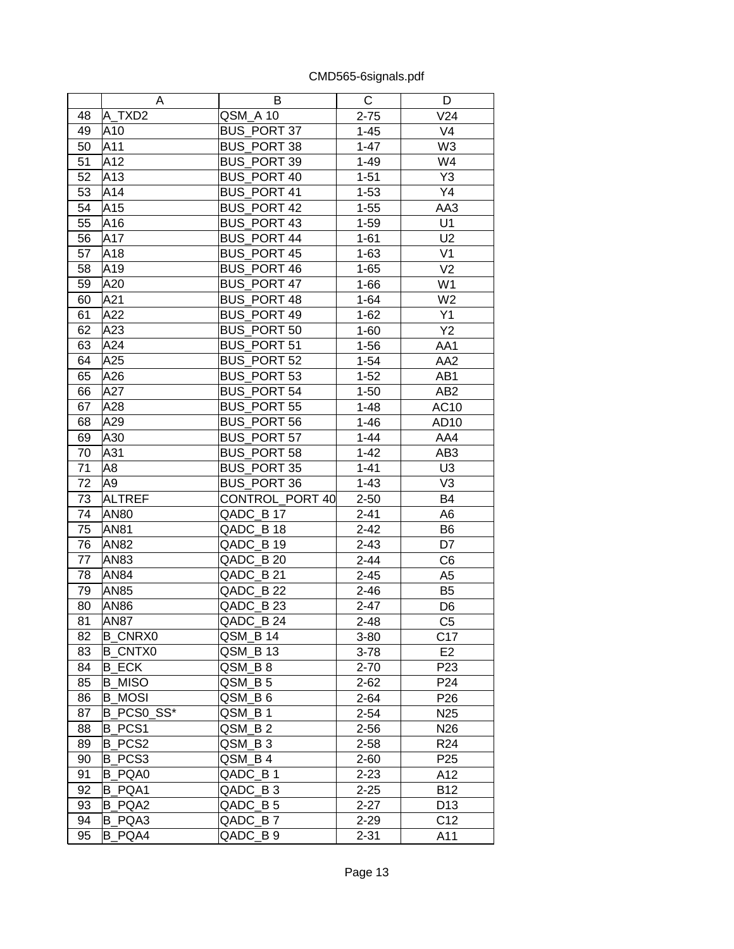|    | A              | B                  | C        | D               |
|----|----------------|--------------------|----------|-----------------|
| 48 | A_TXD2         | QSM A 10           | $2 - 75$ | V24             |
| 49 | A10            | <b>BUS PORT 37</b> | $1 - 45$ | V <sub>4</sub>  |
| 50 | A11            | <b>BUS PORT 38</b> | $1 - 47$ | W <sub>3</sub>  |
| 51 | A12            | BUS_PORT 39        | $1 - 49$ | W4              |
| 52 | A13            | <b>BUS PORT 40</b> | $1 - 51$ | Y3              |
| 53 | A14            | BUS_PORT 41        | $1 - 53$ | Y4              |
| 54 | A15            | <b>BUS PORT 42</b> | $1 - 55$ | AA3             |
| 55 | A16            | <b>BUS PORT 43</b> | $1 - 59$ | U1              |
| 56 | A17            | BUS PORT 44        | $1 - 61$ | U <sub>2</sub>  |
| 57 | A18            | <b>BUS_PORT 45</b> | $1 - 63$ | V <sub>1</sub>  |
| 58 | A19            | <b>BUS_PORT 46</b> | $1 - 65$ | V <sub>2</sub>  |
| 59 | A20            | BUS PORT 47        | $1 - 66$ | W <sub>1</sub>  |
| 60 | A21            | <b>BUS PORT 48</b> | $1 - 64$ | W <sub>2</sub>  |
| 61 | A22            | <b>BUS PORT 49</b> | $1 - 62$ | Y1              |
| 62 | A23            | BUS PORT 50        | $1 - 60$ | Y2              |
| 63 | A24            | BUS_PORT 51        | $1 - 56$ | AA1             |
| 64 | A25            | <b>BUS_PORT 52</b> | $1 - 54$ | AA <sub>2</sub> |
| 65 | A26            | BUS PORT 53        | $1 - 52$ | AB1             |
| 66 | A27            | <b>BUS PORT 54</b> | $1 - 50$ | AB <sub>2</sub> |
| 67 | A28            | <b>BUS PORT 55</b> | $1 - 48$ | AC10            |
| 68 | A29            | <b>BUS_PORT 56</b> | $1 - 46$ | AD10            |
| 69 | A30            | <b>BUS PORT 57</b> | $1 - 44$ | AA4             |
| 70 | A31            | <b>BUS PORT 58</b> | $1 - 42$ | AB <sub>3</sub> |
| 71 | A8             | <b>BUS PORT 35</b> | $1 - 41$ | U <sub>3</sub>  |
| 72 | A9             | BUS_PORT 36        | $1 - 43$ | V <sub>3</sub>  |
| 73 | <b>ALTREF</b>  | CONTROL PORT 40    | $2 - 50$ | <b>B4</b>       |
| 74 | <b>AN80</b>    | QADC_B 17          | $2 - 41$ | A <sub>6</sub>  |
| 75 | <b>AN81</b>    | QADC_B 18          | $2 - 42$ | B <sub>6</sub>  |
| 76 | <b>AN82</b>    | QADC B 19          | $2 - 43$ | D7              |
| 77 | <b>AN83</b>    | QADC_B 20          | $2 - 44$ | C <sub>6</sub>  |
| 78 | <b>AN84</b>    | QADC_B 21          | $2 - 45$ | A <sub>5</sub>  |
| 79 | <b>AN85</b>    | QADC B 22          | $2 - 46$ | B <sub>5</sub>  |
| 80 | <b>AN86</b>    | QADC_B 23          | $2 - 47$ | D <sub>6</sub>  |
| 81 | <b>AN87</b>    | QADC_B 24          | 2-48     | C <sub>5</sub>  |
| 82 | <b>B_CNRX0</b> | QSM_B 14           | $3 - 80$ | C <sub>17</sub> |
| 83 | <b>B_CNTX0</b> | QSM B 13           | $3 - 78$ | E <sub>2</sub>  |
| 84 | <b>B ECK</b>   | QSM B 8            | $2 - 70$ | P <sub>23</sub> |
| 85 | <b>B_MISO</b>  | QSM B 5            | $2 - 62$ | P <sub>24</sub> |
| 86 | <b>B_MOSI</b>  | QSM_B 6            | $2 - 64$ | P <sub>26</sub> |
| 87 | B PCS0 SS*     | QSM_B 1            | $2 - 54$ | N <sub>25</sub> |
| 88 | <b>B_PCS1</b>  | QSM B 2            | $2 - 56$ | N <sub>26</sub> |
| 89 | <b>B_PCS2</b>  | QSM_B3             | $2 - 58$ | R <sub>24</sub> |
| 90 | B PCS3         | QSM_B 4            | $2 - 60$ | P <sub>25</sub> |
| 91 | B PQA0         | QADC_B 1           | $2 - 23$ | A12             |
| 92 | B PQA1         | QADC B3            | $2 - 25$ | <b>B12</b>      |
| 93 | B PQA2         | QADC_B 5           | $2 - 27$ | D <sub>13</sub> |
| 94 | B PQA3         | QADC B7            | $2 - 29$ | C12             |
| 95 | B_PQA4         | QADC_B 9           | $2 - 31$ | A11             |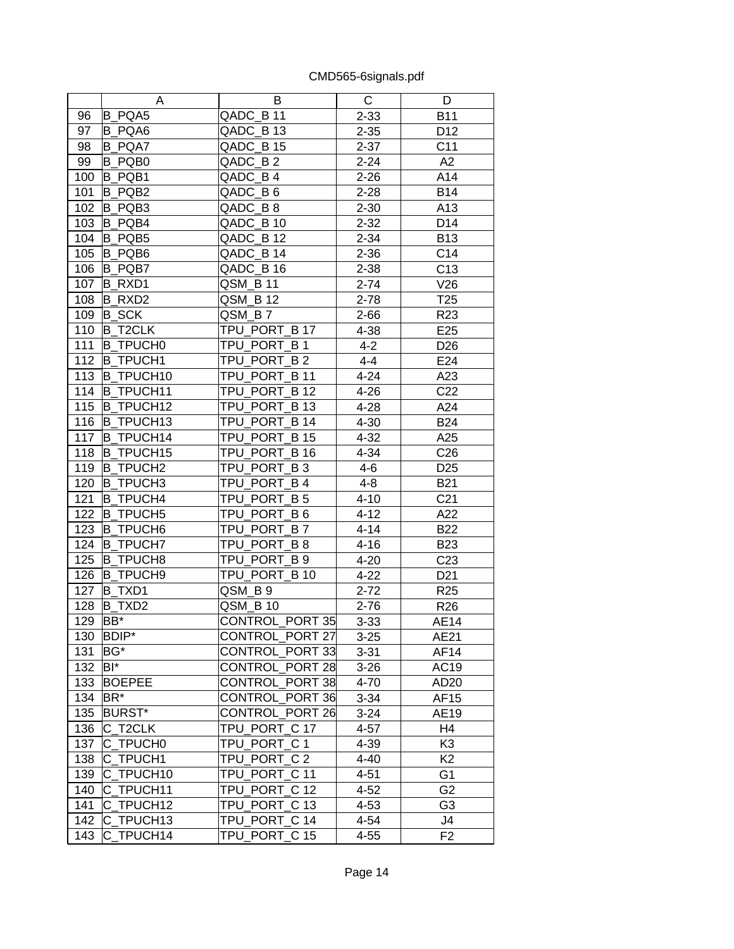|     | Α                | B               | C        | D               |
|-----|------------------|-----------------|----------|-----------------|
| 96  | <b>B PQA5</b>    | QADC B 11       | $2 - 33$ | <b>B11</b>      |
| 97  | B PQA6           | QADC B 13       | $2 - 35$ | D <sub>12</sub> |
| 98  | <b>B PQA7</b>    | QADC_B 15       | $2 - 37$ | C <sub>11</sub> |
| 99  | B PQB0           | QADC_B2         | $2 - 24$ | A2              |
| 100 | <b>B_PQB1</b>    | QADC_B 4        | $2 - 26$ | A14             |
| 101 | B_PQB2           | QADC B6         | $2 - 28$ | <b>B14</b>      |
| 102 | B PQB3           | QADC B8         | $2 - 30$ | A13             |
| 103 | B PQB4           | QADC B 10       | $2 - 32$ | D14             |
| 104 | <b>B PQB5</b>    | QADC B 12       | $2 - 34$ | <b>B13</b>      |
| 105 | B PQB6           | QADC B 14       | $2 - 36$ | C <sub>14</sub> |
| 106 | <b>B_PQB7</b>    | QADC_B 16       | $2 - 38$ | C <sub>13</sub> |
| 107 | B RXD1           | QSM B 11        | $2 - 74$ | V26             |
| 108 | B RXD2           | QSM B 12        | $2 - 78$ | T <sub>25</sub> |
| 109 | <b>B_SCK</b>     | QSM B7          | $2 - 66$ | R <sub>23</sub> |
| 110 | <b>B T2CLK</b>   | TPU PORT B 17   | 4-38     | E <sub>25</sub> |
| 111 | <b>B TPUCHO</b>  | TPU_PORT_B1     | $4 - 2$  | D <sub>26</sub> |
| 112 | <b>B TPUCH1</b>  | TPU PORT B 2    | $4 - 4$  | E24             |
| 113 | <b>B TPUCH10</b> | TPU PORT B 11   | $4 - 24$ | A23             |
| 114 | <b>B TPUCH11</b> | TPU_PORT_B 12   | $4 - 26$ | C <sub>22</sub> |
| 115 | <b>B_TPUCH12</b> | TPU_PORT_B 13   | $4 - 28$ | A24             |
| 116 | B_TPUCH13        | TPU_PORT_B 14   | $4 - 30$ | <b>B24</b>      |
| 117 | <b>B TPUCH14</b> | TPU PORT B 15   | $4 - 32$ | A25             |
| 118 | <b>B TPUCH15</b> | TPU PORT B 16   | $4 - 34$ | C <sub>26</sub> |
| 119 | <b>B TPUCH2</b>  | TPU PORT B3     | $4 - 6$  | D <sub>25</sub> |
| 120 | <b>B TPUCH3</b>  | TPU PORT_B4     | $4 - 8$  | <b>B21</b>      |
| 121 | <b>B TPUCH4</b>  | TPU PORT B 5    | $4 - 10$ | C <sub>21</sub> |
| 122 | <b>B_TPUCH5</b>  | TPU_PORT_B 6    | $4 - 12$ | A22             |
| 123 | <b>B_TPUCH6</b>  | TPU PORT B7     | $4 - 14$ | <b>B22</b>      |
| 124 | <b>B TPUCH7</b>  | TPU PORT B8     | $4 - 16$ | <b>B23</b>      |
| 125 | <b>B TPUCH8</b>  | TPU PORT B 9    | $4 - 20$ | C <sub>23</sub> |
| 126 | <b>B_TPUCH9</b>  | TPU_PORT_B 10   | $4 - 22$ | D <sub>21</sub> |
| 127 | B TXD1           | QSM B 9         | $2 - 72$ | R <sub>25</sub> |
| 128 | <b>B</b> TXD2    | <b>QSM B 10</b> | $2 - 76$ | R <sub>26</sub> |
| 129 | BB*              | CONTROL_PORT 35 | $3 - 33$ | AE14            |
| 130 | <b>BDIP*</b>     | CONTROL PORT 27 | $3 - 25$ | AE21            |
| 131 | BG*              | CONTROL PORT 33 | $3 - 31$ | AF14            |
| 132 | BI*              | CONTROL_PORT 28 | $3 - 26$ | AC19            |
| 133 | <b>BOEPEE</b>    | CONTROL_PORT 38 | 4-70     | AD20            |
| 134 | BR*              | CONTROL_PORT 36 | $3 - 34$ | AF15            |
| 135 | <b>BURST*</b>    | CONTROL_PORT 26 | $3 - 24$ | AE19            |
| 136 | C_T2CLK          | TPU PORT C 17   | $4 - 57$ | H <sub>4</sub>  |
| 137 | C_TPUCH0         | TPU_PORT_C 1    | 4-39     | K <sub>3</sub>  |
| 138 | C_TPUCH1         | TPU PORT C 2    | $4 - 40$ | K <sub>2</sub>  |
| 139 | C TPUCH10        | TPU_PORT_C 11   | $4 - 51$ | G <sub>1</sub>  |
| 140 | C TPUCH11        | TPU PORT C 12   | $4 - 52$ | G <sub>2</sub>  |
| 141 | C TPUCH12        | TPU PORT C 13   | $4 - 53$ | G <sub>3</sub>  |
| 142 | C_TPUCH13        | TPU_PORT_C 14   | $4 - 54$ | J4              |
| 143 | C_TPUCH14        | TPU_PORT_C 15   | $4 - 55$ | F <sub>2</sub>  |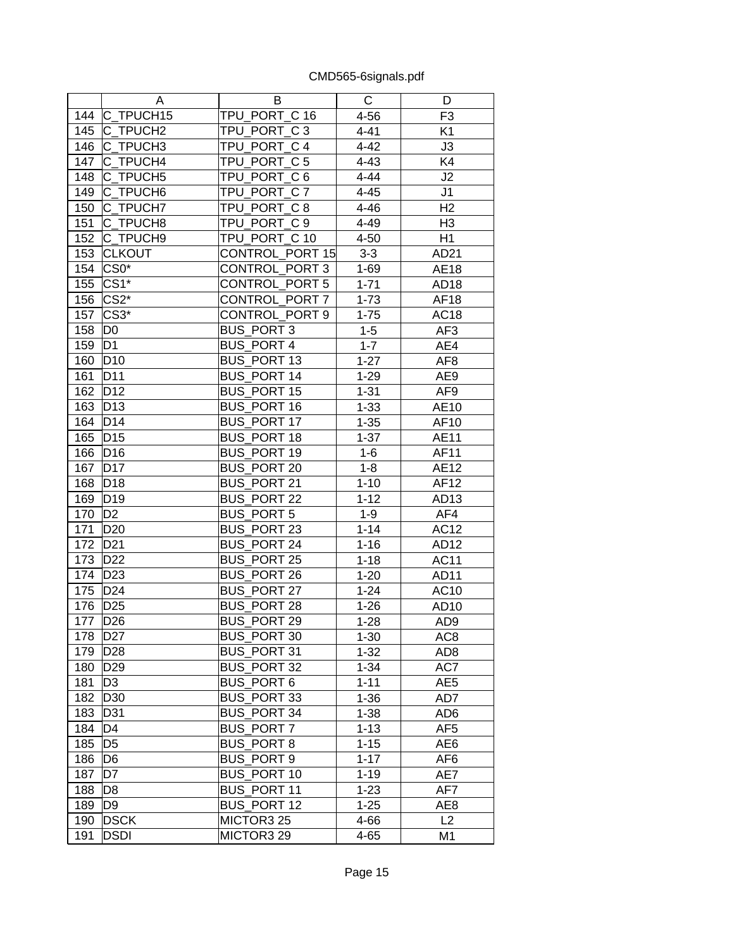|     | A                    | B                  | С        | D                |
|-----|----------------------|--------------------|----------|------------------|
| 144 | C TPUCH15            | TPU PORT C 16      | $4 - 56$ | F <sub>3</sub>   |
| 145 | C TPUCH2             | TPU_PORT_C3        | $4 - 41$ | K <sub>1</sub>   |
| 146 | C TPUCH3             | TPU_PORT_C 4       | $4 - 42$ | J3               |
| 147 | C_TPUCH4             | TPU PORT C5        | $4 - 43$ | K4               |
| 148 | C_TPUCH <sub>5</sub> | TPU_PORT_C 6       | $4 - 44$ | J2               |
| 149 | C TPUCH6             | TPU_PORT_C7        | $4 - 45$ | J1               |
| 150 | C TPUCH7             | TPU PORT C 8       | $4 - 46$ | H <sub>2</sub>   |
| 151 | C TPUCH8             | TPU PORT C 9       | 4-49     | H <sub>3</sub>   |
| 152 | C TPUCH9             | TPU_PORT_C 10      | $4 - 50$ | H1               |
| 153 | <b>CLKOUT</b>        | CONTROL_PORT 15    | $3-3$    | AD21             |
| 154 | CS0*                 | CONTROL PORT 3     | $1 - 69$ | <b>AE18</b>      |
| 155 | CS1*                 | CONTROL_PORT 5     | $1 - 71$ | AD18             |
| 156 | $CS2*$               | CONTROL_PORT 7     | $1 - 73$ | <b>AF18</b>      |
| 157 | CS <sub>3</sub> *    | CONTROL PORT 9     | $1 - 75$ | AC18             |
| 158 | D <sub>0</sub>       | <b>BUS PORT 3</b>  | $1 - 5$  | AF3              |
| 159 | D <sub>1</sub>       | <b>BUS_PORT 4</b>  | $1 - 7$  | AE4              |
| 160 | D <sub>10</sub>      | BUS_PORT 13        | $1 - 27$ | AF <sub>8</sub>  |
| 161 | D <sub>11</sub>      | <b>BUS PORT 14</b> | $1 - 29$ | AE9              |
| 162 | D <sub>12</sub>      | BUS_PORT 15        | $1 - 31$ | AF9              |
| 163 | D <sub>13</sub>      | <b>BUS PORT 16</b> | $1 - 33$ | AE10             |
| 164 | D <sub>14</sub>      | BUS_PORT 17        | $1 - 35$ | AF10             |
| 165 | D <sub>15</sub>      | BUS_PORT 18        | $1 - 37$ | AE11             |
| 166 | D <sub>16</sub>      | <b>BUS PORT 19</b> | $1 - 6$  | AF11             |
| 167 | D17                  | <b>BUS PORT 20</b> | $1 - 8$  | <b>AE12</b>      |
| 168 | D <sub>18</sub>      | BUS PORT 21        | $1 - 10$ | AF12             |
| 169 | D <sub>19</sub>      | <b>BUS PORT 22</b> | $1 - 12$ | AD <sub>13</sub> |
| 170 | D <sub>2</sub>       | <b>BUS PORT 5</b>  | $1 - 9$  | AF4              |
| 171 | D <sub>20</sub>      | <b>BUS_PORT 23</b> | $1 - 14$ | <b>AC12</b>      |
| 172 | D <sub>21</sub>      | <b>BUS PORT 24</b> | $1 - 16$ | AD12             |
| 173 | D <sub>22</sub>      | <b>BUS PORT 25</b> | $1 - 18$ | <b>AC11</b>      |
| 174 | D <sub>23</sub>      | BUS_PORT 26        | $1 - 20$ | AD11             |
| 175 | D <sub>24</sub>      | <b>BUS PORT 27</b> | $1 - 24$ | AC10             |
| 176 | D <sub>25</sub>      | <b>BUS PORT 28</b> | $1 - 26$ | AD10             |
| 177 | D <sub>26</sub>      | <b>BUS PORT 29</b> | $1 - 28$ | AD <sub>9</sub>  |
| 178 | D <sub>27</sub>      | BUS_PORT 30        | $1 - 30$ | AC8              |
| 179 | D <sub>28</sub>      | BUS_PORT 31        | $1 - 32$ | AD <sub>8</sub>  |
| 180 | D29                  | BUS PORT 32        | $1 - 34$ | AC7              |
| 181 | D <sub>3</sub>       | <b>BUS PORT 6</b>  | $1 - 11$ | AE5              |
| 182 | D <sub>30</sub>      | BUS_PORT 33        | $1 - 36$ | AD7              |
| 183 | D31                  | BUS PORT 34        | $1 - 38$ | AD <sub>6</sub>  |
| 184 | D4                   | <b>BUS PORT7</b>   | $1 - 13$ | AF <sub>5</sub>  |
| 185 | D <sub>5</sub>       | <b>BUS PORT 8</b>  | $1 - 15$ | AE6              |
| 186 | D <sub>6</sub>       | <b>BUS PORT 9</b>  | $1 - 17$ | AF6              |
| 187 | D7                   | <b>BUS PORT 10</b> | $1 - 19$ | AE7              |
| 188 | D8                   | BUS PORT 11        | $1 - 23$ | AF7              |
| 189 | D9                   | BUS PORT 12        | $1 - 25$ | AE8              |
| 190 | <b>DSCK</b>          | MICTOR3 25         | 4-66     | L2               |
| 191 | <b>DSDI</b>          | MICTOR3 29         | 4-65     | M1               |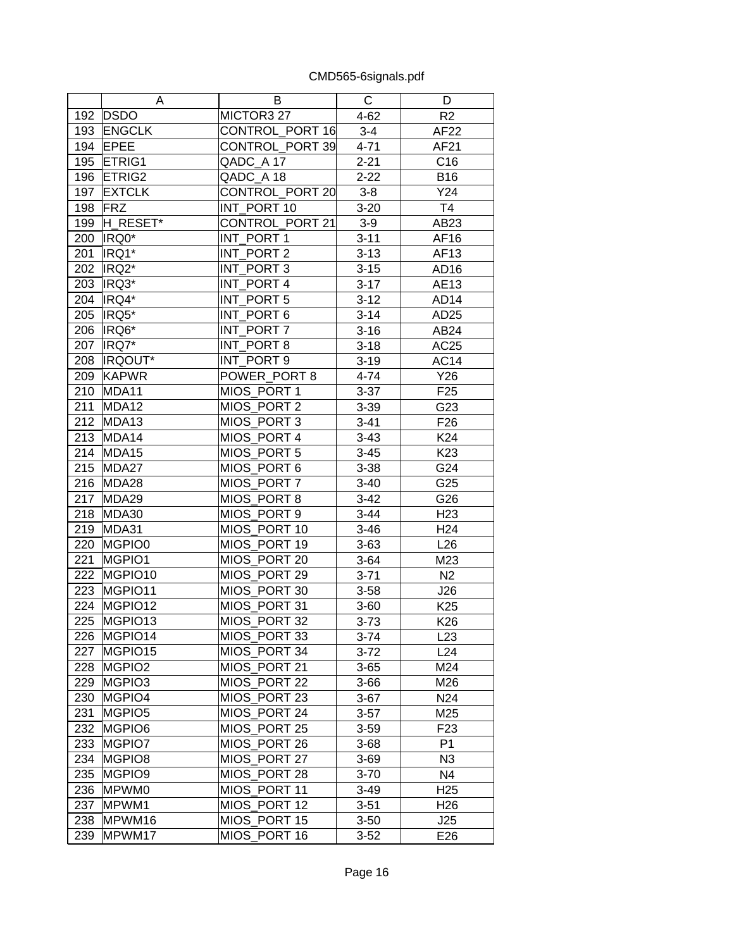|     | A                  | B               | $\mathsf C$ | D                |
|-----|--------------------|-----------------|-------------|------------------|
| 192 | <b>DSDO</b>        | MICTOR3 27      | $4 - 62$    | R <sub>2</sub>   |
| 193 | <b>ENGCLK</b>      | CONTROL_PORT 16 | $3-4$       | AF22             |
| 194 | <b>EPEE</b>        | CONTROL PORT 39 | $4 - 71$    | AF21             |
| 195 | <b>ETRIG1</b>      | QADC_A 17       | $2 - 21$    | C16              |
| 196 | <b>ETRIG2</b>      | QADC_A 18       | $2 - 22$    | <b>B16</b>       |
| 197 | <b>EXTCLK</b>      | CONTROL PORT 20 | $3-8$       | Y24              |
| 198 | FRZ                | INT PORT 10     | $3 - 20$    | T <sub>4</sub>   |
| 199 | H RESET*           | CONTROL PORT 21 | $3-9$       | AB23             |
| 200 | IRQ0 <sup>*</sup>  | INT PORT 1      | $3 - 11$    | AF16             |
| 201 | IRQ1*              | INT PORT 2      | $3 - 13$    | AF13             |
| 202 | IRQ2*              | INT PORT 3      | $3 - 15$    | AD <sub>16</sub> |
| 203 | IRQ3*              | INT PORT 4      | $3 - 17$    | AE13             |
| 204 | IRQ4*              | INT PORT 5      | $3-12$      | AD <sub>14</sub> |
| 205 | IRQ5*              | INT PORT 6      | $3 - 14$    | AD <sub>25</sub> |
| 206 | IRQ6*              | INT_PORT 7      | $3 - 16$    | AB24             |
| 207 | IRQ7*              | INT PORT 8      | $3 - 18$    | AC25             |
| 208 | IRQOUT*            | INT PORT 9      | $3 - 19$    | AC14             |
| 209 | <b>KAPWR</b>       | POWER PORT 8    | $4 - 74$    | Y26              |
| 210 | MDA11              | MIOS PORT 1     | $3 - 37$    | F <sub>25</sub>  |
| 211 | MDA12              | MIOS PORT 2     | $3 - 39$    | G23              |
| 212 | MDA13              | MIOS_PORT 3     | $3 - 41$    | F <sub>26</sub>  |
| 213 | MDA14              | MIOS PORT 4     | $3 - 43$    | K24              |
| 214 | MDA15              | MIOS_PORT 5     | $3 - 45$    | K <sub>23</sub>  |
| 215 | MDA27              | MIOS PORT 6     | $3 - 38$    | G24              |
| 216 | MDA28              | MIOS_PORT 7     | $3-40$      | G25              |
| 217 | MDA29              | MIOS PORT 8     | $3-42$      | G26              |
| 218 | MDA30              | MIOS PORT 9     | $3 - 44$    | H <sub>23</sub>  |
| 219 | MDA31              | MIOS_PORT 10    | $3 - 46$    | H <sub>24</sub>  |
| 220 | MGPIO0             | MIOS PORT 19    | $3 - 63$    | L26              |
| 221 | MGPIO1             | MIOS PORT 20    | $3 - 64$    | M23              |
| 222 | MGPIO10            | MIOS_PORT 29    | $3 - 71$    | N2               |
| 223 | MGPIO11            | MIOS PORT 30    | $3 - 58$    | J26              |
| 224 | MGPIO12            | MIOS PORT 31    | $3 - 60$    | K <sub>25</sub>  |
| 225 | MGPIO13            | MIOS_PORT 32    | $3 - 73$    | K26              |
| 226 | MGPIO14            | MIOS_PORT 33    | $3 - 74$    | L23              |
| 227 | MGPIO15            | MIOS PORT 34    | $3 - 72$    | L24              |
| 228 | MGPIO <sub>2</sub> | MIOS_PORT 21    | $3 - 65$    | M24              |
| 229 | MGPIO3             | MIOS_PORT 22    | $3 - 66$    | M26              |
| 230 | MGPIO4             | MIOS_PORT 23    | $3 - 67$    | N24              |
| 231 | MGPIO <sub>5</sub> | MIOS PORT 24    | $3 - 57$    | M25              |
| 232 | MGPIO6             | MIOS PORT 25    | $3 - 59$    | F <sub>23</sub>  |
| 233 | MGPIO7             | MIOS PORT 26    | $3 - 68$    | P <sub>1</sub>   |
| 234 | MGPIO8             | MIOS PORT 27    | $3 - 69$    | N <sub>3</sub>   |
| 235 | MGPIO9             | MIOS PORT 28    | $3 - 70$    | N4               |
| 236 | MPWM0              | MIOS PORT 11    | $3-49$      | H <sub>25</sub>  |
| 237 | MPWM1              | MIOS_PORT 12    | $3 - 51$    | H <sub>26</sub>  |
| 238 | MPWM16             | MIOS PORT 15    | $3 - 50$    | J25              |
| 239 | MPWM17             | MIOS_PORT 16    | $3 - 52$    | E26              |
|     |                    |                 |             |                  |